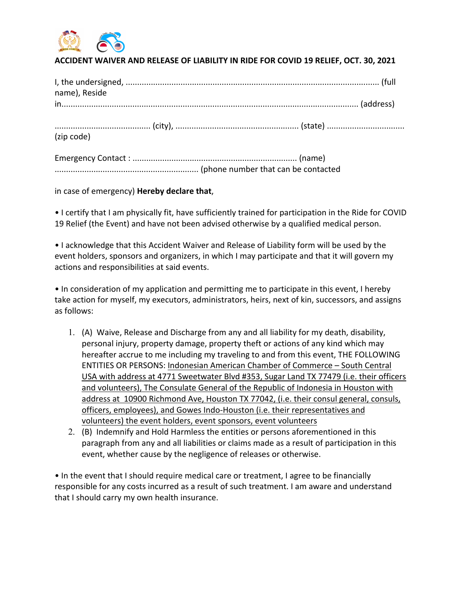

## **ACCIDENT WAIVER AND RELEASE OF LIABILITY IN RIDE FOR COVID 19 RELIEF, OCT. 30, 2021**

| name), Reside |  |
|---------------|--|
|               |  |
|               |  |
| (zip code)    |  |
|               |  |
|               |  |

in case of emergency) **Hereby declare that**,

• I certify that I am physically fit, have sufficiently trained for participation in the Ride for COVID 19 Relief (the Event) and have not been advised otherwise by a qualified medical person.

• I acknowledge that this Accident Waiver and Release of Liability form will be used by the event holders, sponsors and organizers, in which I may participate and that it will govern my actions and responsibilities at said events.

• In consideration of my application and permitting me to participate in this event, I hereby take action for myself, my executors, administrators, heirs, next of kin, successors, and assigns as follows:

- 1. (A) Waive, Release and Discharge from any and all liability for my death, disability, personal injury, property damage, property theft or actions of any kind which may hereafter accrue to me including my traveling to and from this event, THE FOLLOWING ENTITIES OR PERSONS: Indonesian American Chamber of Commerce – South Central USA with address at 4771 Sweetwater Blvd #353, Sugar Land TX 77479 (i.e. their officers and volunteers), The Consulate General of the Republic of Indonesia in Houston with address at 10900 Richmond Ave, Houston TX 77042, (i.e. their consul general, consuls, officers, employees), and Gowes Indo-Houston (i.e. their representatives and volunteers) the event holders, event sponsors, event volunteers
- 2. (B) Indemnify and Hold Harmless the entities or persons aforementioned in this paragraph from any and all liabilities or claims made as a result of participation in this event, whether cause by the negligence of releases or otherwise.

• In the event that I should require medical care or treatment, I agree to be financially responsible for any costs incurred as a result of such treatment. I am aware and understand that I should carry my own health insurance.